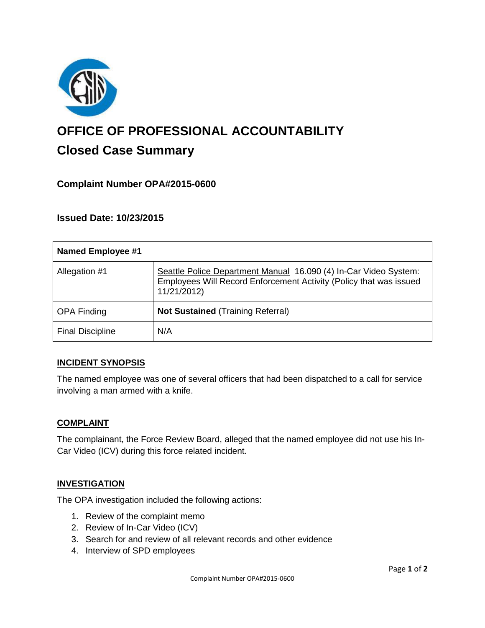

# **OFFICE OF PROFESSIONAL ACCOUNTABILITY Closed Case Summary**

# **Complaint Number OPA#2015-0600**

**Issued Date: 10/23/2015**

| <b>Named Employee #1</b> |                                                                                                                                                       |
|--------------------------|-------------------------------------------------------------------------------------------------------------------------------------------------------|
| Allegation #1            | Seattle Police Department Manual 16.090 (4) In-Car Video System:<br>Employees Will Record Enforcement Activity (Policy that was issued<br>11/21/2012) |
| <b>OPA Finding</b>       | <b>Not Sustained (Training Referral)</b>                                                                                                              |
| <b>Final Discipline</b>  | N/A                                                                                                                                                   |

## **INCIDENT SYNOPSIS**

The named employee was one of several officers that had been dispatched to a call for service involving a man armed with a knife.

#### **COMPLAINT**

The complainant, the Force Review Board, alleged that the named employee did not use his In-Car Video (ICV) during this force related incident.

#### **INVESTIGATION**

The OPA investigation included the following actions:

- 1. Review of the complaint memo
- 2. Review of In-Car Video (ICV)
- 3. Search for and review of all relevant records and other evidence
- 4. Interview of SPD employees